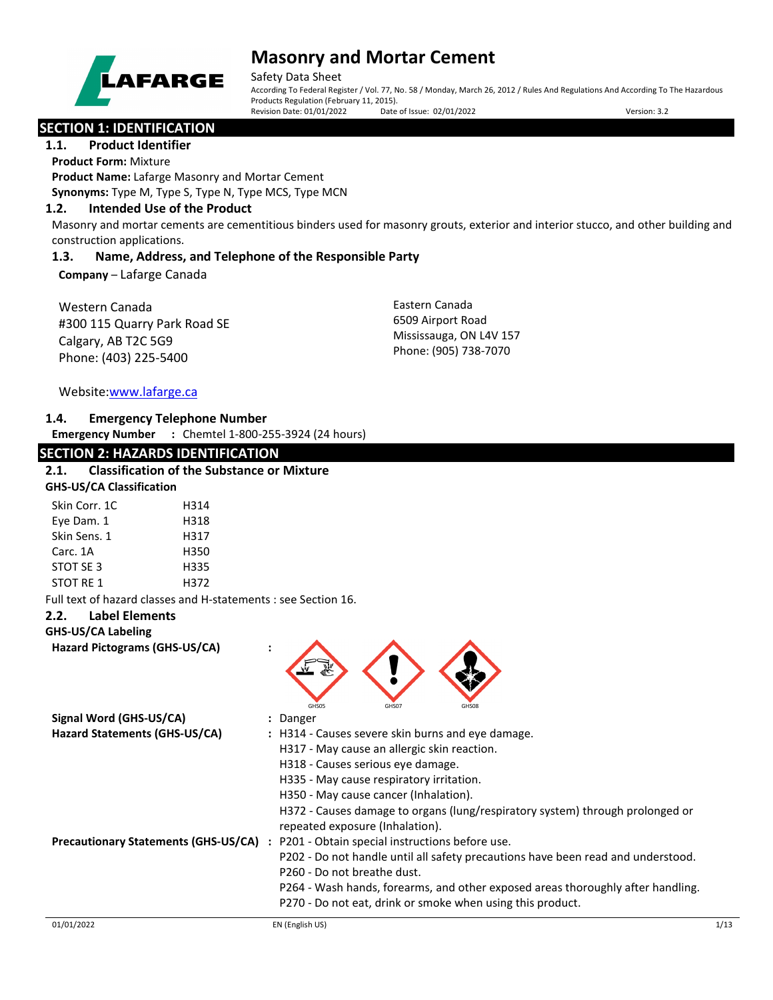

# **Masonry and Mortar Cement**

Safety Data Sheet According To Federal Register / Vol. 77, No. 58 / Monday, March 26, 2012 / Rules And Regulations And According To The Hazardous Products Regulation (February 11, 2015). Revision Date: 01/01/2022 Date of Issue: 02/01/2022 Version: 3.2

## **SECTION 1: IDENTIFICATION**

## **1.1. Product Identifier**

**Product Form:** Mixture

**Product Name:** Lafarge Masonry and Mortar Cement

## **Synonyms:** Type M, Type S, Type N, Type MCS, Type MCN

## **1.2. Intended Use of the Product**

Masonry and mortar cements are cementitious binders used for masonry grouts, exterior and interior stucco, and other building and construction applications.

## **1.3. Name, Address, and Telephone of the Responsible Party**

**Company** – Lafarge Canada

| Western Canada               |  |
|------------------------------|--|
| #300 115 Quarry Park Road SE |  |
| Calgary, AB T2C 5G9          |  |
| Phone: (403) 225-5400        |  |

Eastern Canada 6509 Airport Road Mississauga, ON L4V 157 Phone: (905) 738-7070

Website[:www.lafarge.ca](file://leon/customers/CUSTOMERS/Lafarge_North_America_Inc/Projects/Authoring_20180316/Batch_Folder/B_Draft_SDS/MS_Word_Files/www.lafarge.ca)

### **1.4. Emergency Telephone Number**

**Emergency Number :** Chemtel 1-800-255-3924 (24 hours)

| <b>SECTION 2: HAZARDS IDENTIFICATION</b>                       |                                                                                  |      |
|----------------------------------------------------------------|----------------------------------------------------------------------------------|------|
| <b>Classification of the Substance or Mixture</b><br>2.1.      |                                                                                  |      |
| <b>GHS-US/CA Classification</b>                                |                                                                                  |      |
| Skin Corr. 1C<br>H314                                          |                                                                                  |      |
| Eye Dam. 1<br>H318                                             |                                                                                  |      |
| Skin Sens. 1<br>H317                                           |                                                                                  |      |
| Carc. 1A<br>H350                                               |                                                                                  |      |
| STOT SE 3<br>H335                                              |                                                                                  |      |
| <b>STOT RE 1</b><br>H372                                       |                                                                                  |      |
| Full text of hazard classes and H-statements : see Section 16. |                                                                                  |      |
| <b>Label Elements</b><br>2.2.                                  |                                                                                  |      |
| <b>GHS-US/CA Labeling</b>                                      |                                                                                  |      |
| Hazard Pictograms (GHS-US/CA)                                  |                                                                                  |      |
|                                                                |                                                                                  |      |
|                                                                |                                                                                  |      |
|                                                                |                                                                                  |      |
| Signal Word (GHS-US/CA)                                        | GHS05<br>GHS07<br>GHS08<br>: Danger                                              |      |
| Hazard Statements (GHS-US/CA)                                  | : H314 - Causes severe skin burns and eye damage.                                |      |
|                                                                | H317 - May cause an allergic skin reaction.                                      |      |
|                                                                | H318 - Causes serious eye damage.                                                |      |
|                                                                | H335 - May cause respiratory irritation.                                         |      |
|                                                                | H350 - May cause cancer (Inhalation).                                            |      |
|                                                                | H372 - Causes damage to organs (lung/respiratory system) through prolonged or    |      |
|                                                                | repeated exposure (Inhalation).                                                  |      |
| Precautionary Statements (GHS-US/CA) :                         | P201 - Obtain special instructions before use.                                   |      |
|                                                                | P202 - Do not handle until all safety precautions have been read and understood. |      |
|                                                                | P260 - Do not breathe dust.                                                      |      |
|                                                                | P264 - Wash hands, forearms, and other exposed areas thoroughly after handling.  |      |
|                                                                | P270 - Do not eat, drink or smoke when using this product.                       |      |
|                                                                |                                                                                  |      |
| 01/01/2022                                                     | EN (English US)                                                                  | 1/13 |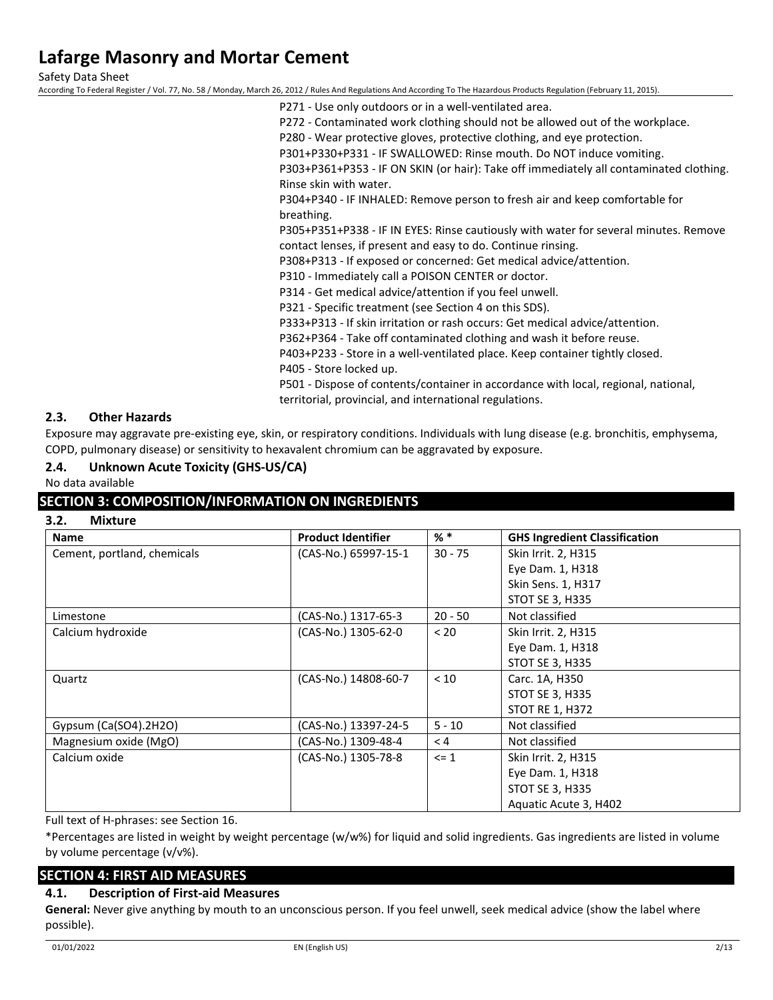Safety Data Sheet

According To Federal Register / Vol. 77, No. 58 / Monday, March 26, 2012 / Rules And Regulations And According To The Hazardous Products Regulation (February 11, 2015).

P271 - Use only outdoors or in a well-ventilated area.

P272 - Contaminated work clothing should not be allowed out of the workplace.

P280 - Wear protective gloves, protective clothing, and eye protection.

P301+P330+P331 - IF SWALLOWED: Rinse mouth. Do NOT induce vomiting.

P303+P361+P353 - IF ON SKIN (or hair): Take off immediately all contaminated clothing. Rinse skin with water.

P304+P340 - IF INHALED: Remove person to fresh air and keep comfortable for breathing.

P305+P351+P338 - IF IN EYES: Rinse cautiously with water for several minutes. Remove contact lenses, if present and easy to do. Continue rinsing.

P308+P313 - If exposed or concerned: Get medical advice/attention.

P310 - Immediately call a POISON CENTER or doctor.

P314 - Get medical advice/attention if you feel unwell.

P321 - Specific treatment (see Section 4 on this SDS).

P333+P313 - If skin irritation or rash occurs: Get medical advice/attention.

P362+P364 - Take off contaminated clothing and wash it before reuse.

P403+P233 - Store in a well-ventilated place. Keep container tightly closed.

P405 - Store locked up.

P501 - Dispose of contents/container in accordance with local, regional, national, territorial, provincial, and international regulations.

### **2.3. Other Hazards**

Exposure may aggravate pre-existing eye, skin, or respiratory conditions. Individuals with lung disease (e.g. bronchitis, emphysema, COPD, pulmonary disease) or sensitivity to hexavalent chromium can be aggravated by exposure.

### **2.4. Unknown Acute Toxicity (GHS-US/CA)**

No data available

### **SECTION 3: COMPOSITION/INFORMATION ON INGREDIENTS**

### **3.2. Mixture**

| <b>Name</b>                 | <b>Product Identifier</b> | $%$ $*$   | <b>GHS Ingredient Classification</b> |
|-----------------------------|---------------------------|-----------|--------------------------------------|
| Cement, portland, chemicals | (CAS-No.) 65997-15-1      | $30 - 75$ | Skin Irrit. 2, H315                  |
|                             |                           |           | Eye Dam. 1, H318                     |
|                             |                           |           | Skin Sens. 1, H317                   |
|                             |                           |           | <b>STOT SE 3, H335</b>               |
| Limestone                   | (CAS-No.) 1317-65-3       | $20 - 50$ | Not classified                       |
| Calcium hydroxide           | (CAS-No.) 1305-62-0       | < 20      | Skin Irrit. 2, H315                  |
|                             |                           |           | Eye Dam. 1, H318                     |
|                             |                           |           | <b>STOT SE 3, H335</b>               |
| Quartz                      | (CAS-No.) 14808-60-7      | < 10      | Carc. 1A, H350                       |
|                             |                           |           | <b>STOT SE 3, H335</b>               |
|                             |                           |           | <b>STOT RE 1, H372</b>               |
| Gypsum (Ca(SO4).2H2O)       | (CAS-No.) 13397-24-5      | $5 - 10$  | Not classified                       |
| Magnesium oxide (MgO)       | (CAS-No.) 1309-48-4       | < 4       | Not classified                       |
| Calcium oxide               | (CAS-No.) 1305-78-8       | $\leq 1$  | Skin Irrit. 2, H315                  |
|                             |                           |           | Eye Dam. 1, H318                     |
|                             |                           |           | <b>STOT SE 3, H335</b>               |
|                             |                           |           | Aquatic Acute 3, H402                |

Full text of H-phrases: see Section 16.

\*Percentages are listed in weight by weight percentage (w/w%) for liquid and solid ingredients. Gas ingredients are listed in volume by volume percentage (v/v%).

## **SECTION 4: FIRST AID MEASURES**

### **4.1. Description of First-aid Measures**

**General:** Never give anything by mouth to an unconscious person. If you feel unwell, seek medical advice (show the label where possible).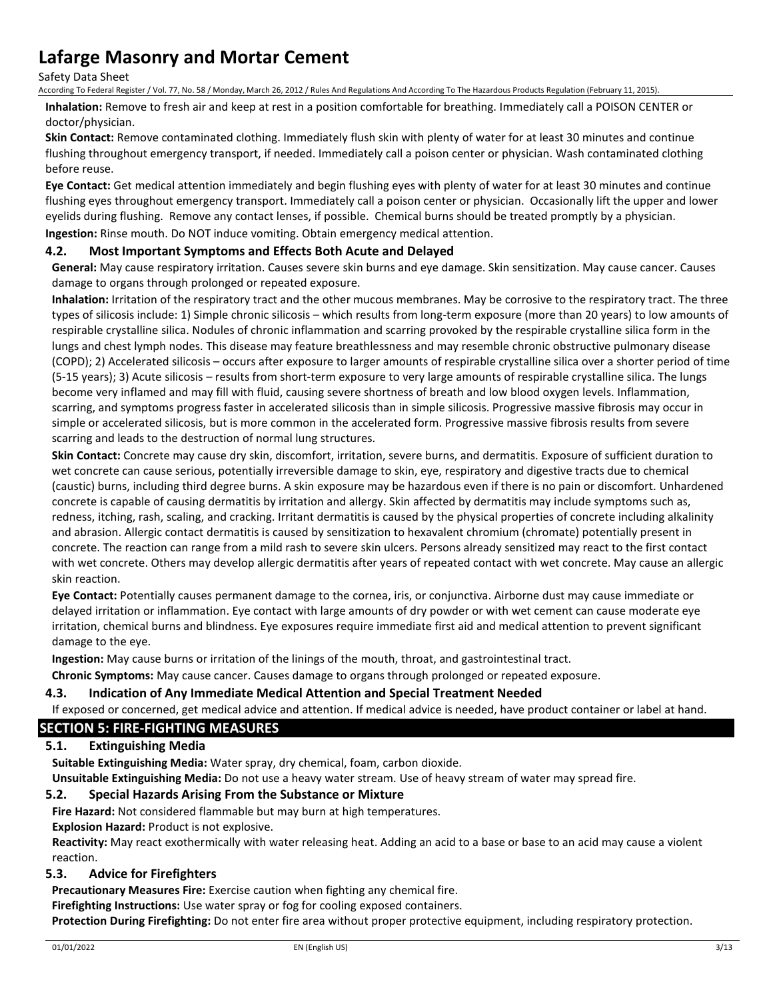Safety Data Sheet

According To Federal Register / Vol. 77, No. 58 / Monday, March 26, 2012 / Rules And Regulations And According To The Hazardous Products Regulation (February 11, 2015).

**Inhalation:** Remove to fresh air and keep at rest in a position comfortable for breathing. Immediately call a POISON CENTER or doctor/physician.

**Skin Contact:** Remove contaminated clothing. Immediately flush skin with plenty of water for at least 30 minutes and continue flushing throughout emergency transport, if needed. Immediately call a poison center or physician. Wash contaminated clothing before reuse.

**Eye Contact:** Get medical attention immediately and begin flushing eyes with plenty of water for at least 30 minutes and continue flushing eyes throughout emergency transport. Immediately call a poison center or physician. Occasionally lift the upper and lower eyelids during flushing. Remove any contact lenses, if possible. Chemical burns should be treated promptly by a physician. **Ingestion:** Rinse mouth. Do NOT induce vomiting. Obtain emergency medical attention.

## **4.2. Most Important Symptoms and Effects Both Acute and Delayed**

**General:** May cause respiratory irritation. Causes severe skin burns and eye damage. Skin sensitization. May cause cancer. Causes damage to organs through prolonged or repeated exposure.

**Inhalation:** Irritation of the respiratory tract and the other mucous membranes. May be corrosive to the respiratory tract. The three types of silicosis include: 1) Simple chronic silicosis – which results from long-term exposure (more than 20 years) to low amounts of respirable crystalline silica. Nodules of chronic inflammation and scarring provoked by the respirable crystalline silica form in the lungs and chest lymph nodes. This disease may feature breathlessness and may resemble chronic obstructive pulmonary disease (COPD); 2) Accelerated silicosis – occurs after exposure to larger amounts of respirable crystalline silica over a shorter period of time (5-15 years); 3) Acute silicosis – results from short-term exposure to very large amounts of respirable crystalline silica. The lungs become very inflamed and may fill with fluid, causing severe shortness of breath and low blood oxygen levels. Inflammation, scarring, and symptoms progress faster in accelerated silicosis than in simple silicosis. Progressive massive fibrosis may occur in simple or accelerated silicosis, but is more common in the accelerated form. Progressive massive fibrosis results from severe scarring and leads to the destruction of normal lung structures.

**Skin Contact:** Concrete may cause dry skin, discomfort, irritation, severe burns, and dermatitis. Exposure of sufficient duration to wet concrete can cause serious, potentially irreversible damage to skin, eye, respiratory and digestive tracts due to chemical (caustic) burns, including third degree burns. A skin exposure may be hazardous even if there is no pain or discomfort. Unhardened concrete is capable of causing dermatitis by irritation and allergy. Skin affected by dermatitis may include symptoms such as, redness, itching, rash, scaling, and cracking. Irritant dermatitis is caused by the physical properties of concrete including alkalinity and abrasion. Allergic contact dermatitis is caused by sensitization to hexavalent chromium (chromate) potentially present in concrete. The reaction can range from a mild rash to severe skin ulcers. Persons already sensitized may react to the first contact with wet concrete. Others may develop allergic dermatitis after years of repeated contact with wet concrete. May cause an allergic skin reaction.

**Eye Contact:** Potentially causes permanent damage to the cornea, iris, or conjunctiva. Airborne dust may cause immediate or delayed irritation or inflammation. Eye contact with large amounts of dry powder or with wet cement can cause moderate eye irritation, chemical burns and blindness. Eye exposures require immediate first aid and medical attention to prevent significant damage to the eye.

**Ingestion:** May cause burns or irritation of the linings of the mouth, throat, and gastrointestinal tract.

**Chronic Symptoms:** May cause cancer. Causes damage to organs through prolonged or repeated exposure.

### **4.3. Indication of Any Immediate Medical Attention and Special Treatment Needed**

If exposed or concerned, get medical advice and attention. If medical advice is needed, have product container or label at hand.

## **SECTION 5: FIRE-FIGHTING MEASURES**

## **5.1. Extinguishing Media**

**Suitable Extinguishing Media:** Water spray, dry chemical, foam, carbon dioxide.

**Unsuitable Extinguishing Media:** Do not use a heavy water stream. Use of heavy stream of water may spread fire.

### **5.2. Special Hazards Arising From the Substance or Mixture**

**Fire Hazard:** Not considered flammable but may burn at high temperatures.

## **Explosion Hazard:** Product is not explosive.

**Reactivity:** May react exothermically with water releasing heat. Adding an acid to a base or base to an acid may cause a violent reaction.

### **5.3. Advice for Firefighters**

**Precautionary Measures Fire:** Exercise caution when fighting any chemical fire.

**Firefighting Instructions:** Use water spray or fog for cooling exposed containers.

**Protection During Firefighting:** Do not enter fire area without proper protective equipment, including respiratory protection.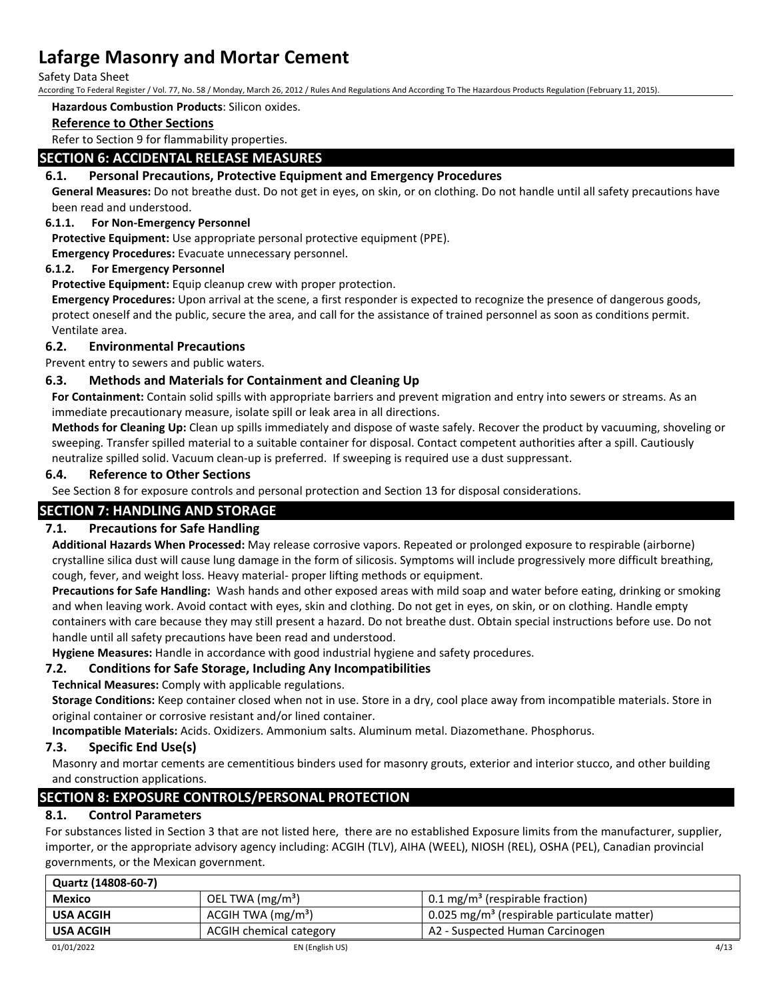Safety Data Sheet

According To Federal Register / Vol. 77, No. 58 / Monday, March 26, 2012 / Rules And Regulations And According To The Hazardous Products Regulation (February 11, 2015).

#### **Hazardous Combustion Products**: Silicon oxides.

### **Reference to Other Sections**

Refer to Section 9 for flammability properties.

### **SECTION 6: ACCIDENTAL RELEASE MEASURES**

### **6.1. Personal Precautions, Protective Equipment and Emergency Procedures**

**General Measures:** Do not breathe dust. Do not get in eyes, on skin, or on clothing. Do not handle until all safety precautions have been read and understood.

### **6.1.1. For Non-Emergency Personnel**

**Protective Equipment:** Use appropriate personal protective equipment (PPE).

**Emergency Procedures:** Evacuate unnecessary personnel.

### **6.1.2. For Emergency Personnel**

**Protective Equipment:** Equip cleanup crew with proper protection.

**Emergency Procedures:** Upon arrival at the scene, a first responder is expected to recognize the presence of dangerous goods, protect oneself and the public, secure the area, and call for the assistance of trained personnel as soon as conditions permit. Ventilate area.

### **6.2. Environmental Precautions**

Prevent entry to sewers and public waters.

### **6.3. Methods and Materials for Containment and Cleaning Up**

**For Containment:** Contain solid spills with appropriate barriers and prevent migration and entry into sewers or streams. As an immediate precautionary measure, isolate spill or leak area in all directions.

**Methods for Cleaning Up:** Clean up spills immediately and dispose of waste safely. Recover the product by vacuuming, shoveling or sweeping. Transfer spilled material to a suitable container for disposal. Contact competent authorities after a spill. Cautiously neutralize spilled solid. Vacuum clean-up is preferred. If sweeping is required use a dust suppressant.

### **6.4. Reference to Other Sections**

See Section 8 for exposure controls and personal protection and Section 13 for disposal considerations.

## **SECTION 7: HANDLING AND STORAGE**

## **7.1. Precautions for Safe Handling**

**Additional Hazards When Processed:** May release corrosive vapors. Repeated or prolonged exposure to respirable (airborne) crystalline silica dust will cause lung damage in the form of silicosis. Symptoms will include progressively more difficult breathing, cough, fever, and weight loss. Heavy material- proper lifting methods or equipment.

**Precautions for Safe Handling:** Wash hands and other exposed areas with mild soap and water before eating, drinking or smoking and when leaving work. Avoid contact with eyes, skin and clothing. Do not get in eyes, on skin, or on clothing. Handle empty containers with care because they may still present a hazard. Do not breathe dust. Obtain special instructions before use. Do not handle until all safety precautions have been read and understood.

**Hygiene Measures:** Handle in accordance with good industrial hygiene and safety procedures.

## **7.2. Conditions for Safe Storage, Including Any Incompatibilities**

**Technical Measures:** Comply with applicable regulations.

**Storage Conditions:** Keep container closed when not in use. Store in a dry, cool place away from incompatible materials. Store in original container or corrosive resistant and/or lined container.

**Incompatible Materials:** Acids. Oxidizers. Ammonium salts. Aluminum metal. Diazomethane. Phosphorus.

### **7.3. Specific End Use(s)**

Masonry and mortar cements are cementitious binders used for masonry grouts, exterior and interior stucco, and other building and construction applications.

## **SECTION 8: EXPOSURE CONTROLS/PERSONAL PROTECTION**

## **8.1. Control Parameters**

For substances listed in Section 3 that are not listed here, there are no established Exposure limits from the manufacturer, supplier, importer, or the appropriate advisory agency including: ACGIH (TLV), AIHA (WEEL), NIOSH (REL), OSHA (PEL), Canadian provincial governments, or the Mexican government.

| Quartz (14808-60-7) |                         |                                                         |      |
|---------------------|-------------------------|---------------------------------------------------------|------|
| <b>Mexico</b>       | OEL TWA $(mg/m3)$       | $0.1 \,\mathrm{mg/m^3}$ (respirable fraction)           |      |
| <b>USA ACGIH</b>    | ACGIH TWA $(mg/m3)$     | 0.025 mg/m <sup>3</sup> (respirable particulate matter) |      |
| <b>USA ACGIH</b>    | ACGIH chemical category | A2 - Suspected Human Carcinogen                         |      |
| 01/01/2022          | EN (English US)         |                                                         | 4/13 |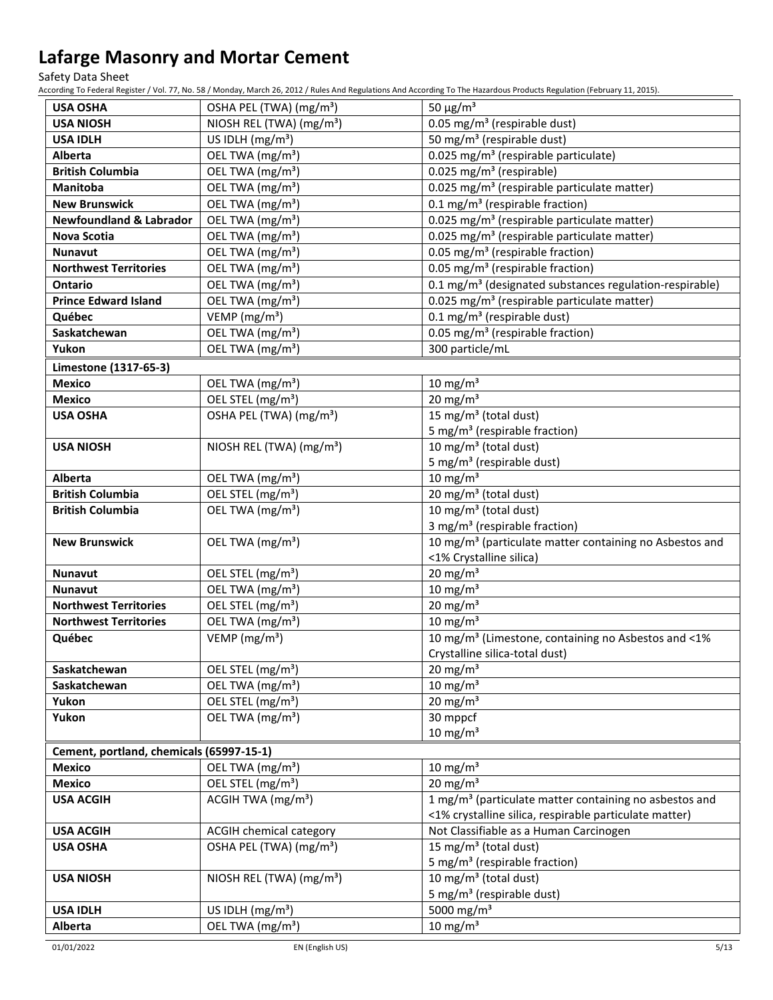Safety Data Sheet

According To Federal Register / Vol. 77, No. 58 / Monday, March 26, 2012 / Rules And Regulations And According To The Hazardous Products Regulation (February 11, 2015).

| <b>USA OSHA</b>                          | OSHA PEL (TWA) (mg/m <sup>3</sup> )               | 50 $\mu$ g/m <sup>3</sup>                                           |  |
|------------------------------------------|---------------------------------------------------|---------------------------------------------------------------------|--|
| <b>USA NIOSH</b>                         | NIOSH REL (TWA) (mg/m <sup>3</sup> )              | 0.05 mg/m <sup>3</sup> (respirable dust)                            |  |
| <b>USA IDLH</b>                          | US IDLH (mg/m <sup>3</sup> )                      | 50 mg/m <sup>3</sup> (respirable dust)                              |  |
| <b>Alberta</b>                           | OEL TWA (mg/m <sup>3</sup> )                      | $\overline{0.025}$ mg/m <sup>3</sup> (respirable particulate)       |  |
| <b>British Columbia</b>                  | OEL TWA (mg/m <sup>3</sup> )                      | 0.025 mg/m <sup>3</sup> (respirable)                                |  |
| Manitoba                                 | OEL TWA (mg/m <sup>3</sup> )                      | 0.025 mg/m <sup>3</sup> (respirable particulate matter)             |  |
| <b>New Brunswick</b>                     | OEL TWA (mg/m <sup>3</sup> )                      | 0.1 mg/m <sup>3</sup> (respirable fraction)                         |  |
| <b>Newfoundland &amp; Labrador</b>       | OEL TWA (mg/m <sup>3</sup> )                      | 0.025 mg/m <sup>3</sup> (respirable particulate matter)             |  |
| Nova Scotia                              | OEL TWA (mg/m <sup>3</sup> )                      | 0.025 mg/m <sup>3</sup> (respirable particulate matter)             |  |
| <b>Nunavut</b>                           | OEL TWA (mg/m <sup>3</sup> )                      | 0.05 mg/m <sup>3</sup> (respirable fraction)                        |  |
| <b>Northwest Territories</b>             | OEL TWA (mg/m <sup>3</sup> )                      | 0.05 mg/m <sup>3</sup> (respirable fraction)                        |  |
| <b>Ontario</b>                           | OEL TWA (mg/m <sup>3</sup> )                      | 0.1 mg/m <sup>3</sup> (designated substances regulation-respirable) |  |
| <b>Prince Edward Island</b>              | OEL TWA (mg/m <sup>3</sup> )                      | 0.025 mg/m <sup>3</sup> (respirable particulate matter)             |  |
| Québec                                   | VEMP (mg/m <sup>3</sup> )                         | $0.1 \text{ mg/m}^3$ (respirable dust)                              |  |
| Saskatchewan                             | OEL TWA (mg/m <sup>3</sup> )                      | 0.05 mg/m <sup>3</sup> (respirable fraction)                        |  |
| Yukon                                    | OEL TWA (mg/m <sup>3</sup> )                      | 300 particle/mL                                                     |  |
| Limestone (1317-65-3)                    |                                                   |                                                                     |  |
| <b>Mexico</b>                            | OEL TWA (mg/m <sup>3</sup> )                      | $10 \text{ mg/m}^3$                                                 |  |
| <b>Mexico</b>                            | OEL STEL (mg/m <sup>3</sup> )                     | $20$ mg/m <sup>3</sup>                                              |  |
| <b>USA OSHA</b>                          | OSHA PEL (TWA) (mg/m <sup>3</sup> )               | 15 mg/m <sup>3</sup> (total dust)                                   |  |
|                                          |                                                   | 5 mg/m <sup>3</sup> (respirable fraction)                           |  |
| <b>USA NIOSH</b>                         | NIOSH REL (TWA) (mg/m <sup>3</sup> )              | 10 mg/m <sup>3</sup> (total dust)                                   |  |
|                                          |                                                   | 5 mg/m <sup>3</sup> (respirable dust)                               |  |
| Alberta                                  | OEL TWA (mg/m <sup>3</sup> )                      | $10 \text{ mg/m}^3$                                                 |  |
| <b>British Columbia</b>                  | OEL STEL (mg/m <sup>3</sup> )                     | 20 mg/m <sup>3</sup> (total dust)                                   |  |
| <b>British Columbia</b>                  | OEL TWA (mg/m <sup>3</sup> )                      | 10 mg/m <sup>3</sup> (total dust)                                   |  |
|                                          |                                                   | 3 mg/m <sup>3</sup> (respirable fraction)                           |  |
| <b>New Brunswick</b>                     | OEL TWA (mg/m <sup>3</sup> )                      | 10 mg/m <sup>3</sup> (particulate matter containing no Asbestos and |  |
|                                          |                                                   | <1% Crystalline silica)                                             |  |
| <b>Nunavut</b>                           | OEL STEL (mg/m <sup>3</sup> )                     | 20 mg/m $3$                                                         |  |
| <b>Nunavut</b>                           | OEL TWA (mg/m <sup>3</sup> )                      | $10 \text{ mg/m}^3$                                                 |  |
| <b>Northwest Territories</b>             | OEL STEL (mg/m <sup>3</sup> )                     | $20$ mg/m <sup>3</sup>                                              |  |
| <b>Northwest Territories</b>             | OEL TWA (mg/m <sup>3</sup> )                      | $10 \text{ mg/m}^3$                                                 |  |
| Québec                                   | VEMP (mg/m <sup>3</sup> )                         | 10 mg/m <sup>3</sup> (Limestone, containing no Asbestos and <1%     |  |
|                                          |                                                   | Crystalline silica-total dust)                                      |  |
| Saskatchewan                             | OEL STEL (mg/m <sup>3</sup> )                     | 20 mg/m $3$                                                         |  |
| Saskatchewan                             | OEL TWA (mg/m <sup>3</sup> )                      | 10 mg/m $3$                                                         |  |
| Yukon                                    | OEL STEL (mg/m <sup>3</sup> )                     | 20 mg/m $3$                                                         |  |
| Yukon                                    | OEL TWA (mg/m <sup>3</sup> )                      | 30 mppcf                                                            |  |
|                                          |                                                   | $10 \text{ mg/m}^3$                                                 |  |
| Cement, portland, chemicals (65997-15-1) |                                                   |                                                                     |  |
| <b>Mexico</b>                            | OEL TWA (mg/m <sup>3</sup> )                      | 10 mg/m $3$                                                         |  |
| <b>Mexico</b>                            | OEL STEL (mg/m <sup>3</sup> )                     | $20 \text{ mg/m}^3$                                                 |  |
| <b>USA ACGIH</b>                         | ACGIH TWA $(mg/m3)$                               | 1 mg/m <sup>3</sup> (particulate matter containing no asbestos and  |  |
|                                          |                                                   | <1% crystalline silica, respirable particulate matter)              |  |
| <b>USA ACGIH</b>                         | ACGIH chemical category                           | Not Classifiable as a Human Carcinogen                              |  |
| <b>USA OSHA</b>                          | OSHA PEL (TWA) (mg/m <sup>3</sup> )               | 15 mg/m <sup>3</sup> (total dust)                                   |  |
|                                          |                                                   | 5 mg/m <sup>3</sup> (respirable fraction)                           |  |
| <b>USA NIOSH</b>                         | NIOSH REL (TWA) (mg/m <sup>3</sup> )              | 10 mg/m <sup>3</sup> (total dust)                                   |  |
|                                          |                                                   | 5 mg/m <sup>3</sup> (respirable dust)                               |  |
| <b>USA IDLH</b>                          |                                                   | 5000 mg/m <sup>3</sup>                                              |  |
|                                          | US IDLH $(mg/m3)$<br>OEL TWA (mg/m <sup>3</sup> ) | 10 mg/m $3$                                                         |  |
| Alberta                                  |                                                   |                                                                     |  |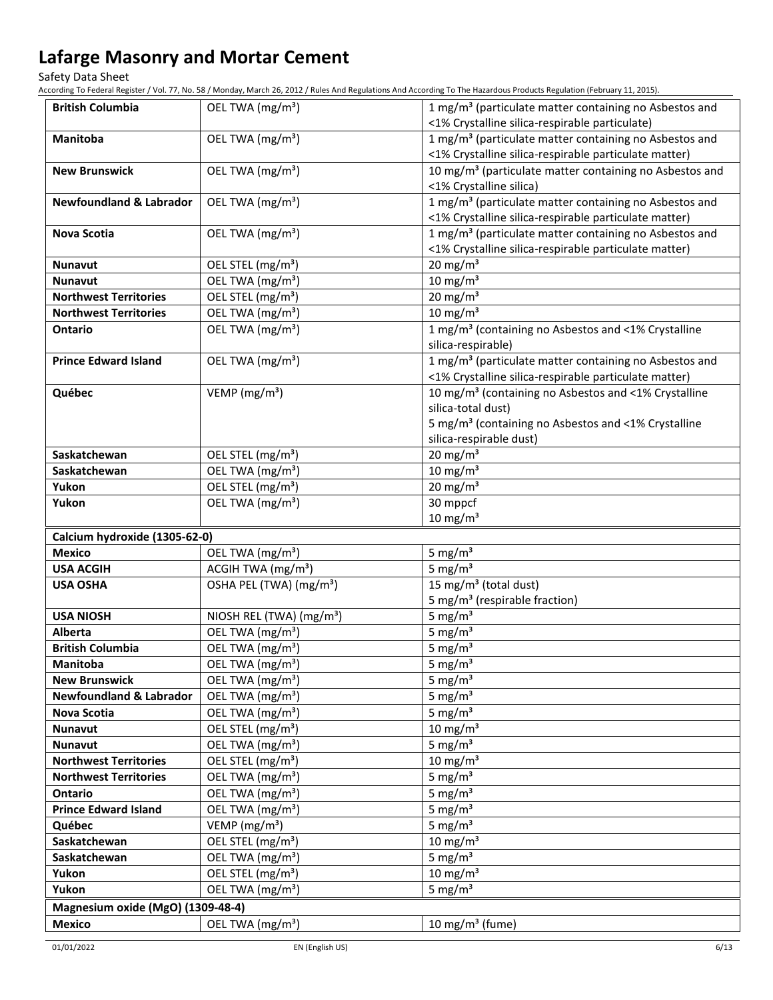Safety Data Sheet

According To Federal Register / Vol. 77, No. 58 / Monday, March 26, 2012 / Rules And Regulations And According To The Hazardous Products Regulation (February 11, 2015).

| <b>British Columbia</b>            | OEL TWA (mg/m <sup>3</sup> )         | 1 mg/m <sup>3</sup> (particulate matter containing no Asbestos and                                                          |
|------------------------------------|--------------------------------------|-----------------------------------------------------------------------------------------------------------------------------|
|                                    |                                      | <1% Crystalline silica-respirable particulate)                                                                              |
| <b>Manitoba</b>                    | OEL TWA (mg/m <sup>3</sup> )         | 1 mg/m <sup>3</sup> (particulate matter containing no Asbestos and                                                          |
|                                    |                                      | <1% Crystalline silica-respirable particulate matter)                                                                       |
| <b>New Brunswick</b>               | OEL TWA (mg/m <sup>3</sup> )         | 10 mg/m <sup>3</sup> (particulate matter containing no Asbestos and<br><1% Crystalline silica)                              |
|                                    |                                      |                                                                                                                             |
| <b>Newfoundland &amp; Labrador</b> | OEL TWA (mg/m <sup>3</sup> )         | 1 mg/m <sup>3</sup> (particulate matter containing no Asbestos and<br><1% Crystalline silica-respirable particulate matter) |
|                                    |                                      |                                                                                                                             |
| <b>Nova Scotia</b>                 | OEL TWA (mg/m <sup>3</sup> )         | 1 mg/m <sup>3</sup> (particulate matter containing no Asbestos and<br><1% Crystalline silica-respirable particulate matter) |
| <b>Nunavut</b>                     | OEL STEL (mg/m <sup>3</sup> )        | 20 mg/m $3$                                                                                                                 |
| <b>Nunavut</b>                     | OEL TWA (mg/m <sup>3</sup> )         | $10 \text{ mg/m}^3$                                                                                                         |
| <b>Northwest Territories</b>       | OEL STEL (mg/m <sup>3</sup> )        | $20 \text{ mg/m}^3$                                                                                                         |
| <b>Northwest Territories</b>       | OEL TWA (mg/m <sup>3</sup> )         | $10 \text{ mg/m}^3$                                                                                                         |
| Ontario                            | OEL TWA (mg/m <sup>3</sup> )         | 1 mg/m <sup>3</sup> (containing no Asbestos and <1% Crystalline                                                             |
|                                    |                                      | silica-respirable)                                                                                                          |
| <b>Prince Edward Island</b>        | OEL TWA (mg/m <sup>3</sup> )         | 1 mg/m <sup>3</sup> (particulate matter containing no Asbestos and                                                          |
|                                    |                                      | <1% Crystalline silica-respirable particulate matter)                                                                       |
| Québec                             | VEMP ( $mg/m3$ )                     | 10 mg/m <sup>3</sup> (containing no Asbestos and <1% Crystalline                                                            |
|                                    |                                      | silica-total dust)                                                                                                          |
|                                    |                                      | 5 mg/m <sup>3</sup> (containing no Asbestos and <1% Crystalline                                                             |
|                                    |                                      | silica-respirable dust)                                                                                                     |
| Saskatchewan                       | OEL STEL (mg/m <sup>3</sup> )        | $20 \text{ mg/m}^3$                                                                                                         |
| Saskatchewan                       | OEL TWA (mg/m <sup>3</sup> )         | 10 mg/m $3$                                                                                                                 |
| Yukon                              | OEL STEL (mg/m <sup>3</sup> )        | $20 \text{ mg/m}^3$                                                                                                         |
| Yukon                              | OEL TWA (mg/m <sup>3</sup> )         | 30 mppcf                                                                                                                    |
|                                    |                                      | $10 \text{ mg/m}^3$                                                                                                         |
| Calcium hydroxide (1305-62-0)      |                                      |                                                                                                                             |
| <b>Mexico</b>                      | OEL TWA (mg/m <sup>3</sup> )         | 5 mg/ $m3$                                                                                                                  |
| <b>USA ACGIH</b>                   | ACGIH TWA (mg/m <sup>3</sup> )       | 5 mg/ $m3$                                                                                                                  |
| <b>USA OSHA</b>                    | OSHA PEL (TWA) (mg/m <sup>3</sup> )  | 15 mg/m <sup>3</sup> (total dust)                                                                                           |
|                                    |                                      | 5 mg/m <sup>3</sup> (respirable fraction)                                                                                   |
| <b>USA NIOSH</b>                   | NIOSH REL (TWA) (mg/m <sup>3</sup> ) | 5 mg/ $m3$                                                                                                                  |
| Alberta                            | OEL TWA (mg/m <sup>3</sup> )         | 5 mg/ $m3$                                                                                                                  |
| <b>British Columbia</b>            | OEL TWA (mg/m <sup>3</sup> )         | 5 mg/ $m3$                                                                                                                  |
| Manitoba                           | OEL TWA (mg/m <sup>3</sup> )         | 5 mg/ $m3$                                                                                                                  |
| <b>New Brunswick</b>               | OEL TWA (mg/m <sup>3</sup> )         | 5 mg/ $m3$                                                                                                                  |
| <b>Newfoundland &amp; Labrador</b> | OEL TWA (mg/m <sup>3</sup> )         | 5 mg/ $m3$                                                                                                                  |
| <b>Nova Scotia</b>                 | OEL TWA (mg/m <sup>3</sup> )         | 5 mg/ $m3$                                                                                                                  |
| Nunavut                            | OEL STEL (mg/m <sup>3</sup> )        | $10 \text{ mg/m}^3$                                                                                                         |
| Nunavut                            | OEL TWA (mg/m <sup>3</sup> )         | 5 mg/ $m3$                                                                                                                  |
| <b>Northwest Territories</b>       | OEL STEL (mg/m <sup>3</sup> )        | 10 mg/m $3$                                                                                                                 |
| <b>Northwest Territories</b>       | OEL TWA (mg/m <sup>3</sup> )         | 5 mg/ $m3$                                                                                                                  |
| Ontario                            | OEL TWA (mg/m <sup>3</sup> )         | 5 mg/ $m3$                                                                                                                  |
| <b>Prince Edward Island</b>        | OEL TWA (mg/m <sup>3</sup> )         | 5 mg/ $m3$                                                                                                                  |
| Québec                             | VEMP ( $mg/m3$ )                     | 5 mg/ $m3$                                                                                                                  |
| Saskatchewan                       | OEL STEL (mg/m <sup>3</sup> )        | 10 mg/m $3$                                                                                                                 |
| Saskatchewan                       | OEL TWA (mg/m <sup>3</sup> )         | 5 mg/ $m3$                                                                                                                  |
| Yukon                              | OEL STEL (mg/m <sup>3</sup> )        | 10 mg/m $3$                                                                                                                 |
| Yukon                              | OEL TWA (mg/m <sup>3</sup> )         | 5 mg/ $m3$                                                                                                                  |
| Magnesium oxide (MgO) (1309-48-4)  |                                      |                                                                                                                             |
| <b>Mexico</b>                      | OEL TWA (mg/m <sup>3</sup> )         | 10 mg/m <sup>3</sup> (fume)                                                                                                 |
|                                    |                                      |                                                                                                                             |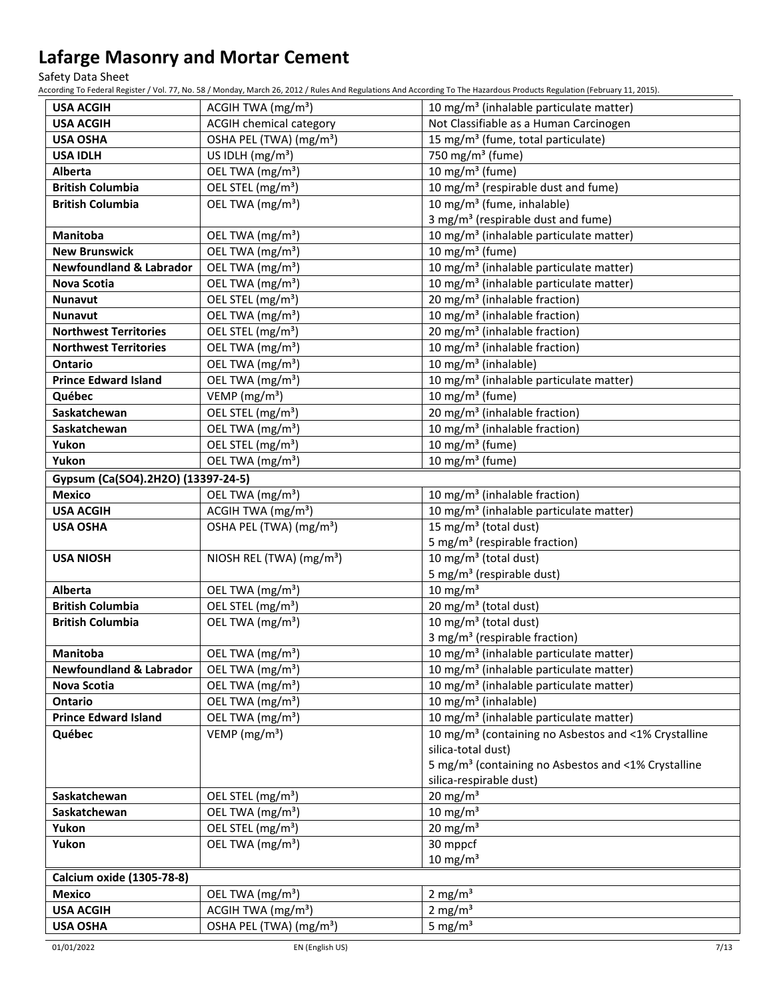Safety Data Sheet

According To Federal Register / Vol. 77, No. 58 / Monday, March 26, 2012 / Rules And Regulations And According To The Hazardous Products Regulation (February 11, 2015).

| <b>USA ACGIH</b><br>ACGIH TWA $(mg/m3)$<br>10 mg/m <sup>3</sup> (inhalable particulate matter)                            |  |
|---------------------------------------------------------------------------------------------------------------------------|--|
| <b>ACGIH chemical category</b><br>Not Classifiable as a Human Carcinogen<br><b>USA ACGIH</b>                              |  |
| OSHA PEL (TWA) (mg/m <sup>3</sup> )<br>15 mg/m <sup>3</sup> (fume, total particulate)<br><b>USA OSHA</b>                  |  |
| US IDLH $(mg/m3)$<br>750 mg/m <sup>3</sup> (fume)<br><b>USA IDLH</b>                                                      |  |
| 10 mg/m $3$ (fume)<br>OEL TWA (mg/m <sup>3</sup> )<br>Alberta                                                             |  |
| <b>British Columbia</b><br>OEL STEL (mg/m <sup>3</sup> )<br>10 mg/m <sup>3</sup> (respirable dust and fume)               |  |
| 10 mg/m <sup>3</sup> (fume, inhalable)<br>OEL TWA (mg/m <sup>3</sup> )<br><b>British Columbia</b>                         |  |
| 3 mg/m <sup>3</sup> (respirable dust and fume)                                                                            |  |
| 10 mg/m <sup>3</sup> (inhalable particulate matter)<br>Manitoba<br>OEL TWA (mg/m <sup>3</sup> )                           |  |
| $10$ mg/m <sup>3</sup> (fume)<br>OEL TWA (mg/m <sup>3</sup> )<br><b>New Brunswick</b>                                     |  |
| <b>Newfoundland &amp; Labrador</b><br>OEL TWA (mg/m <sup>3</sup> )<br>10 mg/m <sup>3</sup> (inhalable particulate matter) |  |
| OEL TWA (mg/m <sup>3</sup> )<br>10 mg/m <sup>3</sup> (inhalable particulate matter)<br>Nova Scotia                        |  |
| OEL STEL (mg/m <sup>3</sup> )<br>20 mg/m <sup>3</sup> (inhalable fraction)<br>Nunavut                                     |  |
| 10 mg/m <sup>3</sup> (inhalable fraction)<br>OEL TWA (mg/m <sup>3</sup> )<br><b>Nunavut</b>                               |  |
| 20 mg/m <sup>3</sup> (inhalable fraction)<br><b>Northwest Territories</b><br>OEL STEL (mg/m <sup>3</sup> )                |  |
| 10 mg/m <sup>3</sup> (inhalable fraction)<br><b>Northwest Territories</b><br>OEL TWA (mg/m <sup>3</sup> )                 |  |
| OEL TWA (mg/m <sup>3</sup> )<br>10 mg/m <sup>3</sup> (inhalable)<br><b>Ontario</b>                                        |  |
| OEL TWA (mg/m <sup>3</sup> )<br>10 mg/m <sup>3</sup> (inhalable particulate matter)<br><b>Prince Edward Island</b>        |  |
| VEMP ( $mg/m3$ )<br>10 mg/m <sup>3</sup> (fume)<br>Québec                                                                 |  |
| OEL STEL (mg/m <sup>3</sup> )<br>20 mg/m <sup>3</sup> (inhalable fraction)<br>Saskatchewan                                |  |
| OEL TWA (mg/m <sup>3</sup> )<br>10 mg/m <sup>3</sup> (inhalable fraction)<br>Saskatchewan                                 |  |
| OEL STEL (mg/m <sup>3</sup> )<br>10 mg/m <sup>3</sup> (fume)<br>Yukon                                                     |  |
| 10 mg/m $3$ (fume)<br>OEL TWA (mg/m <sup>3</sup> )<br>Yukon                                                               |  |
| Gypsum (Ca(SO4).2H2O) (13397-24-5)                                                                                        |  |
| OEL TWA (mg/m <sup>3</sup> )<br><b>Mexico</b><br>10 mg/m <sup>3</sup> (inhalable fraction)                                |  |
| ACGIH TWA (mg/m <sup>3</sup> )<br>10 mg/m <sup>3</sup> (inhalable particulate matter)<br><b>USA ACGIH</b>                 |  |
| 15 mg/m <sup>3</sup> (total dust)<br>OSHA PEL (TWA) (mg/m <sup>3</sup> )<br><b>USA OSHA</b>                               |  |
| 5 mg/m <sup>3</sup> (respirable fraction)                                                                                 |  |
| 10 mg/m <sup>3</sup> (total dust)<br>NIOSH REL (TWA) (mg/m <sup>3</sup> )<br><b>USA NIOSH</b>                             |  |
| 5 mg/m <sup>3</sup> (respirable dust)                                                                                     |  |
| $10 \text{ mg/m}^3$<br>OEL TWA (mg/m <sup>3</sup> )<br>Alberta                                                            |  |
| 20 mg/m <sup>3</sup> (total dust)<br><b>British Columbia</b><br>OEL STEL (mg/m <sup>3</sup> )                             |  |
| 10 mg/m <sup>3</sup> (total dust)<br>OEL TWA (mg/m <sup>3</sup> )<br><b>British Columbia</b>                              |  |
| 3 mg/m <sup>3</sup> (respirable fraction)                                                                                 |  |
| Manitoba<br>10 mg/m <sup>3</sup> (inhalable particulate matter)<br>OEL TWA (mg/m <sup>3</sup> )                           |  |
| <b>Newfoundland &amp; Labrador</b><br>OEL TWA (mg/m <sup>3</sup> )<br>10 mg/m <sup>3</sup> (inhalable particulate matter) |  |
| OEL TWA (mg/m <sup>3</sup> )<br>10 mg/m <sup>3</sup> (inhalable particulate matter)<br><b>Nova Scotia</b>                 |  |
| 10 mg/m <sup>3</sup> (inhalable)<br>OEL TWA (mg/m <sup>3</sup> )<br>Ontario                                               |  |
| OEL TWA (mg/m <sup>3</sup> )<br>10 mg/m <sup>3</sup> (inhalable particulate matter)<br><b>Prince Edward Island</b>        |  |
| VEMP ( $mg/m3$ )<br>10 mg/m <sup>3</sup> (containing no Asbestos and <1% Crystalline<br>Québec                            |  |
| silica-total dust)                                                                                                        |  |
| 5 mg/m <sup>3</sup> (containing no Asbestos and <1% Crystalline                                                           |  |
| silica-respirable dust)                                                                                                   |  |
| $20$ mg/m <sup>3</sup><br>Saskatchewan<br>OEL STEL (mg/m <sup>3</sup> )                                                   |  |
| $10 \text{ mg/m}^3$<br>OEL TWA (mg/m <sup>3</sup> )<br>Saskatchewan                                                       |  |
| 20 mg/m $3$<br>OEL STEL (mg/m <sup>3</sup> )<br>Yukon                                                                     |  |
| Yukon<br>OEL TWA (mg/m <sup>3</sup> )<br>30 mppcf                                                                         |  |
| $10 \text{ mg/m}^3$                                                                                                       |  |
| Calcium oxide (1305-78-8)                                                                                                 |  |
| 2 mg/ $m3$<br><b>Mexico</b><br>OEL TWA (mg/m <sup>3</sup> )                                                               |  |
| 2 mg/ $m3$<br>ACGIH TWA $(mg/m3)$<br><b>USA ACGIH</b>                                                                     |  |
| 5 mg/ $m3$<br>OSHA PEL (TWA) (mg/m <sup>3</sup> )<br><b>USA OSHA</b>                                                      |  |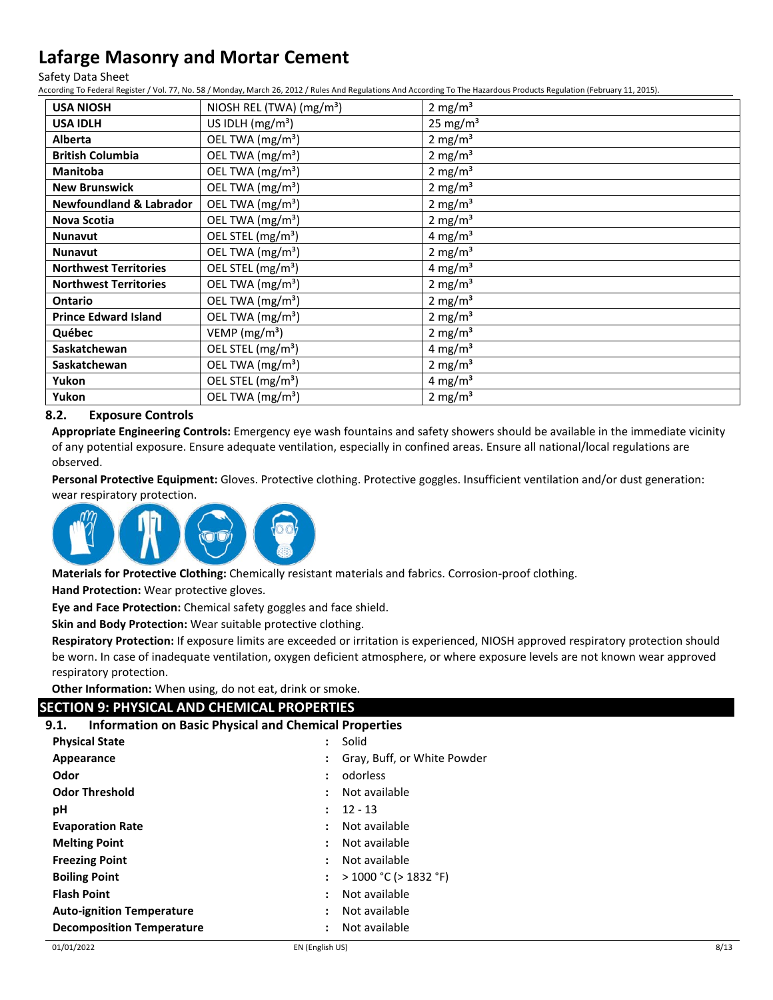Safety Data Sheet

According To Federal Register / Vol. 77, No. 58 / Monday, March 26, 2012 / Rules And Regulations And According To The Hazardous Products Regulation (February 11, 2015).

| <b>USA NIOSH</b>                   | NIOSH REL (TWA) $(mg/m3)$     | 2 mg/m <sup>3</sup> |
|------------------------------------|-------------------------------|---------------------|
| <b>USA IDLH</b>                    | US IDLH $(mg/m3)$             | $25 \text{ mg/m}^3$ |
| <b>Alberta</b>                     | OEL TWA (mg/m <sup>3</sup> )  | 2 mg/m <sup>3</sup> |
| <b>British Columbia</b>            | OEL TWA (mg/m <sup>3</sup> )  | 2 mg/m <sup>3</sup> |
| <b>Manitoba</b>                    | OEL TWA (mg/m <sup>3</sup> )  | 2 mg/m $3$          |
| <b>New Brunswick</b>               | OEL TWA (mg/m <sup>3</sup> )  | 2 mg/m $3$          |
| <b>Newfoundland &amp; Labrador</b> | OEL TWA (mg/m <sup>3</sup> )  | 2 mg/m $3$          |
| <b>Nova Scotia</b>                 | OEL TWA (mg/m <sup>3</sup> )  | 2 mg/m <sup>3</sup> |
| <b>Nunavut</b>                     | OEL STEL (mg/m <sup>3</sup> ) | 4 mg/m <sup>3</sup> |
| <b>Nunavut</b>                     | OEL TWA (mg/m <sup>3</sup> )  | 2 mg/m <sup>3</sup> |
| <b>Northwest Territories</b>       | OEL STEL (mg/m <sup>3</sup> ) | 4 mg/m <sup>3</sup> |
| <b>Northwest Territories</b>       | OEL TWA (mg/m <sup>3</sup> )  | 2 mg/m $3$          |
| <b>Ontario</b>                     | OEL TWA (mg/m <sup>3</sup> )  | 2 mg/m <sup>3</sup> |
| <b>Prince Edward Island</b>        | OEL TWA (mg/m <sup>3</sup> )  | 2 mg/m <sup>3</sup> |
| Québec                             | VEMP ( $mg/m3$ )              | 2 mg/m <sup>3</sup> |
| Saskatchewan                       | OEL STEL (mg/m <sup>3</sup> ) | 4 mg/m <sup>3</sup> |
| Saskatchewan                       | OEL TWA (mg/m <sup>3</sup> )  | 2 mg/m <sup>3</sup> |
| Yukon                              | OEL STEL (mg/m <sup>3</sup> ) | 4 mg/m <sup>3</sup> |
| Yukon                              | OEL TWA (mg/m <sup>3</sup> )  | 2 mg/m <sup>3</sup> |

## **8.2. Exposure Controls**

**Appropriate Engineering Controls:** Emergency eye wash fountains and safety showers should be available in the immediate vicinity of any potential exposure. Ensure adequate ventilation, especially in confined areas. Ensure all national/local regulations are observed.

**Personal Protective Equipment:** Gloves. Protective clothing. Protective goggles. Insufficient ventilation and/or dust generation: wear respiratory protection.



**Materials for Protective Clothing:** Chemically resistant materials and fabrics. Corrosion-proof clothing.

**Hand Protection:** Wear protective gloves.

**Eye and Face Protection:** Chemical safety goggles and face shield.

**Skin and Body Protection:** Wear suitable protective clothing.

**Respiratory Protection:** If exposure limits are exceeded or irritation is experienced, NIOSH approved respiratory protection should be worn. In case of inadequate ventilation, oxygen deficient atmosphere, or where exposure levels are not known wear approved respiratory protection.

**Other Information:** When using, do not eat, drink or smoke.

### **SECTION 9: PHYSICAL AND CHEMICAL PROPERTIES**

|  |  |  |  |  |  | <b>Information on Basic Physical and Chemical Properties</b> | 9.1. |
|--|--|--|--|--|--|--------------------------------------------------------------|------|
|--|--|--|--|--|--|--------------------------------------------------------------|------|

| <b>Physical State</b>            | ÷                    | Solid                       |
|----------------------------------|----------------------|-----------------------------|
| Appearance                       |                      | Gray, Buff, or White Powder |
| Odor                             |                      | odorless                    |
| <b>Odor Threshold</b>            | ÷                    | Not available               |
| рH                               | ÷                    | $12 - 13$                   |
| <b>Evaporation Rate</b>          | ÷                    | Not available               |
| <b>Melting Point</b>             | ÷                    | Not available               |
| <b>Freezing Point</b>            | ÷                    | Not available               |
| <b>Boiling Point</b>             | $\mathbf{L}$         | $>$ 1000 °C ( $>$ 1832 °F)  |
| <b>Flash Point</b>               | $\ddot{\phantom{a}}$ | Not available               |
| <b>Auto-ignition Temperature</b> | :                    | Not available               |
| <b>Decomposition Temperature</b> |                      | Not available               |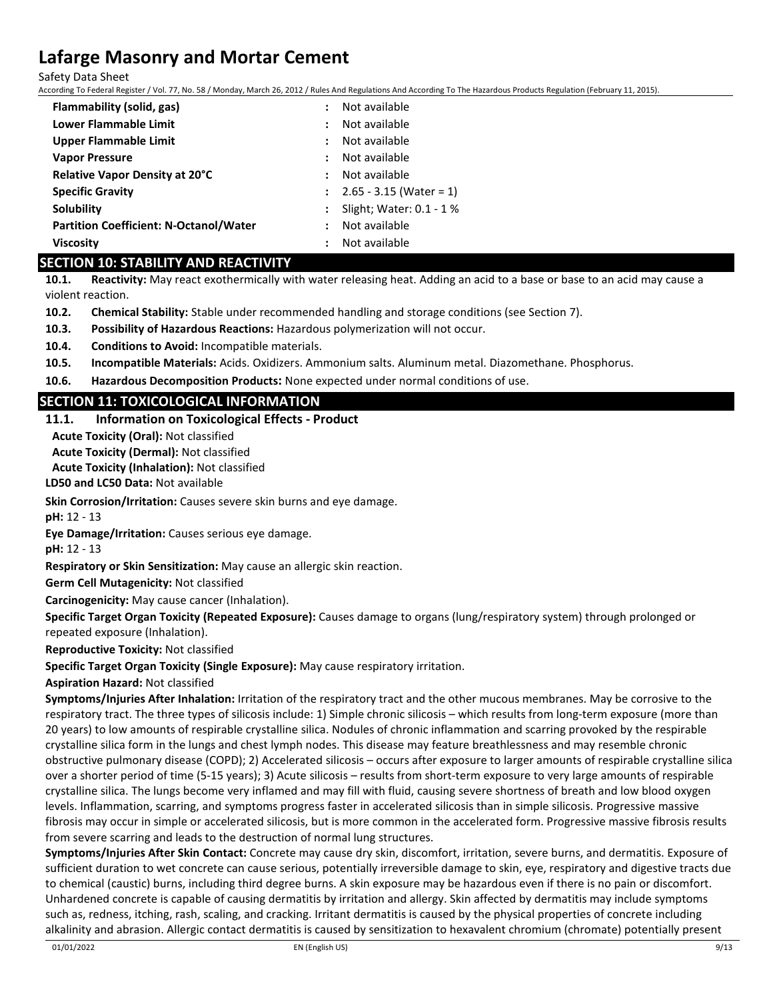Safety Data Sheet

According To Federal Register / Vol. 77, No. 58 / Monday, March 26, 2012 / Rules And Regulations And According To The Hazardous Products Regulation (February 11, 2015).

| Flammability (solid, gas)                     | Not available<br>$\ddot{\phantom{a}}$ |
|-----------------------------------------------|---------------------------------------|
| Lower Flammable Limit                         | Not available<br>$\ddot{\phantom{a}}$ |
| <b>Upper Flammable Limit</b>                  | Not available<br>$\mathbf{r}$         |
| <b>Vapor Pressure</b>                         | Not available<br>$\mathbf{L}$         |
| <b>Relative Vapor Density at 20°C</b>         | Not available<br>$\ddot{\phantom{a}}$ |
| <b>Specific Gravity</b>                       | $\therefore$ 2.65 - 3.15 (Water = 1)  |
| Solubility                                    | Slight; Water: $0.1 - 1$ %            |
| <b>Partition Coefficient: N-Octanol/Water</b> | Not available<br>$\mathbf{L}$         |
| <b>Viscosity</b>                              | Not available<br>$\ddot{\phantom{a}}$ |

### **SECTION 10: STABILITY AND REACTIVITY**

**10.1. Reactivity:** May react exothermically with water releasing heat. Adding an acid to a base or base to an acid may cause a violent reaction.

**10.2. Chemical Stability:** Stable under recommended handling and storage conditions (see Section 7).

**10.3. Possibility of Hazardous Reactions:** Hazardous polymerization will not occur.

**10.4. Conditions to Avoid:** Incompatible materials.

**10.5. Incompatible Materials:** Acids. Oxidizers. Ammonium salts. Aluminum metal. Diazomethane. Phosphorus.

**10.6. Hazardous Decomposition Products:** None expected under normal conditions of use.

## **SECTION 11: TOXICOLOGICAL INFORMATION**

### **11.1. Information on Toxicological Effects - Product**

**Acute Toxicity (Oral):** Not classified

**Acute Toxicity (Dermal):** Not classified

**Acute Toxicity (Inhalation):** Not classified

**LD50 and LC50 Data:** Not available

**Skin Corrosion/Irritation:** Causes severe skin burns and eye damage.

**pH:** 12 - 13

**Eye Damage/Irritation:** Causes serious eye damage.

**pH:** 12 - 13

**Respiratory or Skin Sensitization:** May cause an allergic skin reaction.

**Germ Cell Mutagenicity:** Not classified

**Carcinogenicity:** May cause cancer (Inhalation).

**Specific Target Organ Toxicity (Repeated Exposure):** Causes damage to organs (lung/respiratory system) through prolonged or repeated exposure (Inhalation).

**Reproductive Toxicity:** Not classified

**Specific Target Organ Toxicity (Single Exposure):** May cause respiratory irritation.

**Aspiration Hazard:** Not classified

**Symptoms/Injuries After Inhalation:** Irritation of the respiratory tract and the other mucous membranes. May be corrosive to the respiratory tract. The three types of silicosis include: 1) Simple chronic silicosis – which results from long-term exposure (more than 20 years) to low amounts of respirable crystalline silica. Nodules of chronic inflammation and scarring provoked by the respirable crystalline silica form in the lungs and chest lymph nodes. This disease may feature breathlessness and may resemble chronic obstructive pulmonary disease (COPD); 2) Accelerated silicosis – occurs after exposure to larger amounts of respirable crystalline silica over a shorter period of time (5-15 years); 3) Acute silicosis – results from short-term exposure to very large amounts of respirable crystalline silica. The lungs become very inflamed and may fill with fluid, causing severe shortness of breath and low blood oxygen levels. Inflammation, scarring, and symptoms progress faster in accelerated silicosis than in simple silicosis. Progressive massive fibrosis may occur in simple or accelerated silicosis, but is more common in the accelerated form. Progressive massive fibrosis results from severe scarring and leads to the destruction of normal lung structures.

**Symptoms/Injuries After Skin Contact:** Concrete may cause dry skin, discomfort, irritation, severe burns, and dermatitis. Exposure of sufficient duration to wet concrete can cause serious, potentially irreversible damage to skin, eye, respiratory and digestive tracts due to chemical (caustic) burns, including third degree burns. A skin exposure may be hazardous even if there is no pain or discomfort. Unhardened concrete is capable of causing dermatitis by irritation and allergy. Skin affected by dermatitis may include symptoms such as, redness, itching, rash, scaling, and cracking. Irritant dermatitis is caused by the physical properties of concrete including alkalinity and abrasion. Allergic contact dermatitis is caused by sensitization to hexavalent chromium (chromate) potentially present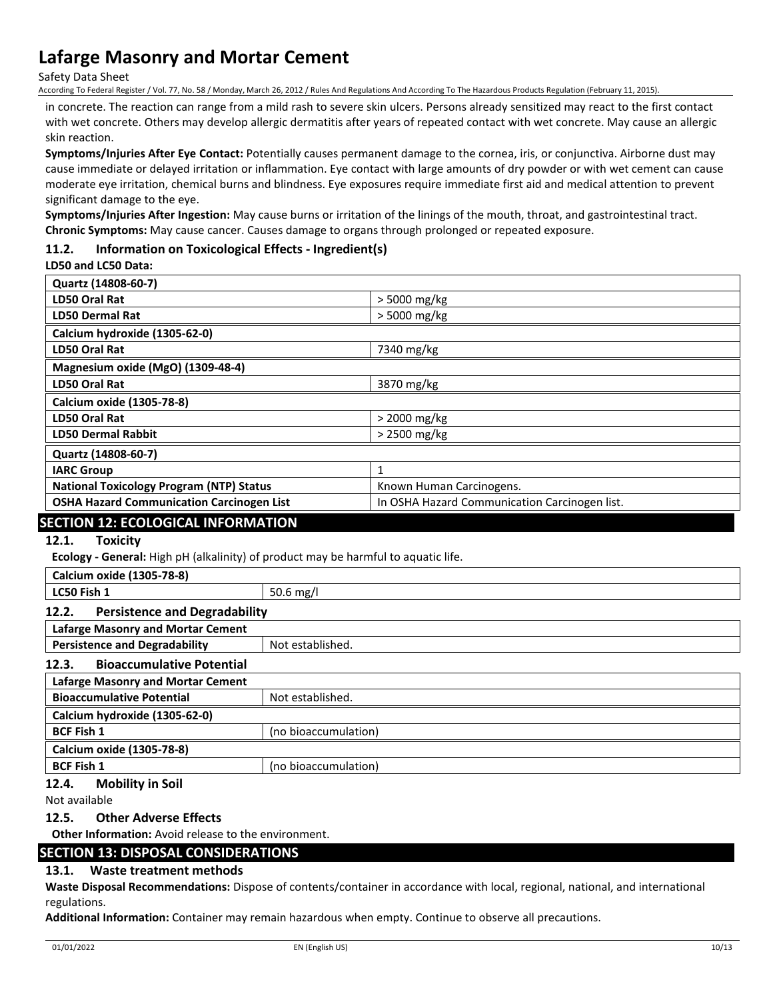Safety Data Sheet

According To Federal Register / Vol. 77, No. 58 / Monday, March 26, 2012 / Rules And Regulations And According To The Hazardous Products Regulation (February 11, 2015).

in concrete. The reaction can range from a mild rash to severe skin ulcers. Persons already sensitized may react to the first contact with wet concrete. Others may develop allergic dermatitis after years of repeated contact with wet concrete. May cause an allergic skin reaction.

**Symptoms/Injuries After Eye Contact:** Potentially causes permanent damage to the cornea, iris, or conjunctiva. Airborne dust may cause immediate or delayed irritation or inflammation. Eye contact with large amounts of dry powder or with wet cement can cause moderate eye irritation, chemical burns and blindness. Eye exposures require immediate first aid and medical attention to prevent significant damage to the eye.

**Symptoms/Injuries After Ingestion:** May cause burns or irritation of the linings of the mouth, throat, and gastrointestinal tract. **Chronic Symptoms:** May cause cancer. Causes damage to organs through prolonged or repeated exposure.

### **11.2. Information on Toxicological Effects - Ingredient(s)**

#### **LD50 and LC50 Data:**

| Quartz (14808-60-7)                                                                               |                      |              |  |  |
|---------------------------------------------------------------------------------------------------|----------------------|--------------|--|--|
| <b>LD50 Oral Rat</b>                                                                              | > 5000 mg/kg         |              |  |  |
| <b>LD50 Dermal Rat</b>                                                                            |                      | > 5000 mg/kg |  |  |
| Calcium hydroxide (1305-62-0)                                                                     |                      |              |  |  |
| <b>LD50 Oral Rat</b>                                                                              |                      | 7340 mg/kg   |  |  |
| Magnesium oxide (MgO) (1309-48-4)                                                                 |                      |              |  |  |
| <b>LD50 Oral Rat</b>                                                                              |                      | 3870 mg/kg   |  |  |
| Calcium oxide (1305-78-8)                                                                         |                      |              |  |  |
| <b>LD50 Oral Rat</b>                                                                              |                      | > 2000 mg/kg |  |  |
| <b>LD50 Dermal Rabbit</b>                                                                         |                      | > 2500 mg/kg |  |  |
| Quartz (14808-60-7)                                                                               |                      |              |  |  |
| <b>IARC Group</b>                                                                                 | $\mathbf{1}$         |              |  |  |
| <b>National Toxicology Program (NTP) Status</b><br>Known Human Carcinogens.                       |                      |              |  |  |
| <b>OSHA Hazard Communication Carcinogen List</b><br>In OSHA Hazard Communication Carcinogen list. |                      |              |  |  |
| <b>SECTION 12: ECOLOGICAL INFORMATION</b>                                                         |                      |              |  |  |
| 12.1.<br><b>Toxicity</b>                                                                          |                      |              |  |  |
| Ecology - General: High pH (alkalinity) of product may be harmful to aquatic life.                |                      |              |  |  |
| Calcium oxide (1305-78-8)                                                                         |                      |              |  |  |
| LC50 Fish 1                                                                                       | 50.6 mg/l            |              |  |  |
| 12.2.<br><b>Persistence and Degradability</b>                                                     |                      |              |  |  |
| <b>Lafarge Masonry and Mortar Cement</b>                                                          |                      |              |  |  |
| <b>Persistence and Degradability</b><br>Not established.                                          |                      |              |  |  |
| 12.3.<br><b>Bioaccumulative Potential</b>                                                         |                      |              |  |  |
| <b>Lafarge Masonry and Mortar Cement</b>                                                          |                      |              |  |  |
| <b>Bioaccumulative Potential</b>                                                                  | Not established.     |              |  |  |
| Calcium hydroxide (1305-62-0)                                                                     |                      |              |  |  |
| <b>BCF Fish 1</b>                                                                                 | (no bioaccumulation) |              |  |  |
| Calcium oxide (1305-78-8)                                                                         |                      |              |  |  |

### **BCF Fish 1** (no bioaccumulation) **12.4. Mobility in Soil**

Not available

### **12.5. Other Adverse Effects**

**Other Information:** Avoid release to the environment.

## **SECTION 13: DISPOSAL CONSIDERATIONS**

### **13.1. Waste treatment methods**

**Waste Disposal Recommendations:** Dispose of contents/container in accordance with local, regional, national, and international regulations.

**Additional Information:** Container may remain hazardous when empty. Continue to observe all precautions.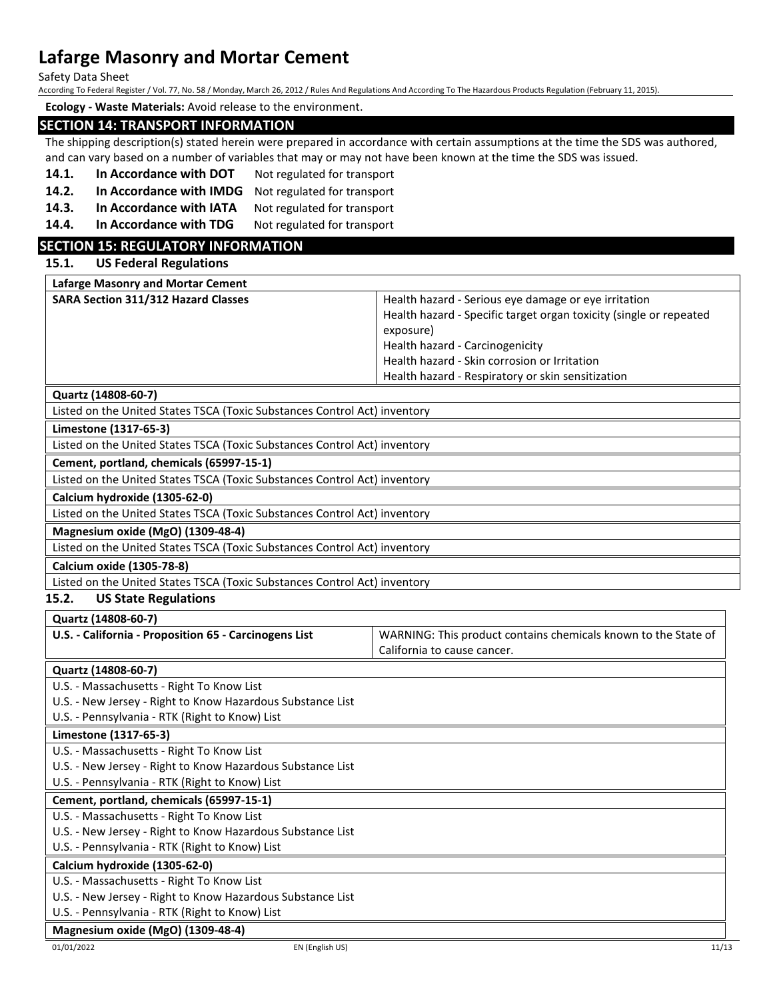Safety Data Sheet

According To Federal Register / Vol. 77, No. 58 / Monday, March 26, 2012 / Rules And Regulations And According To The Hazardous Products Regulation (February 11, 2015).

**Ecology - Waste Materials:** Avoid release to the environment.

### **SECTION 14: TRANSPORT INFORMATION**

The shipping description(s) stated herein were prepared in accordance with certain assumptions at the time the SDS was authored, and can vary based on a number of variables that may or may not have been known at the time the SDS was issued.

- **14.1. In Accordance with DOT** Not regulated for transport
- **14.2. In Accordance with IMDG** Not regulated for transport
- 14.3. In Accordance with IATA Not regulated for transport
- 14.4. In Accordance with TDG Not regulated for transport

## **SECTION 15: REGULATORY INFORMATION**

#### **15.1. US Federal Regulations**

| <b>Lafarge Masonry and Mortar Cement</b>   |                                                                    |
|--------------------------------------------|--------------------------------------------------------------------|
| <b>SARA Section 311/312 Hazard Classes</b> | Health hazard - Serious eye damage or eye irritation               |
|                                            | Health hazard - Specific target organ toxicity (single or repeated |
|                                            | exposure)                                                          |
|                                            | Health hazard - Carcinogenicity                                    |
|                                            | Health hazard - Skin corrosion or Irritation                       |
|                                            | Health hazard - Respiratory or skin sensitization                  |

**Quartz (14808-60-7)**

Listed on the United States TSCA (Toxic Substances Control Act) inventory

#### **Limestone (1317-65-3)**

Listed on the United States TSCA (Toxic Substances Control Act) inventory

**Cement, portland, chemicals (65997-15-1)**

Listed on the United States TSCA (Toxic Substances Control Act) inventory

**Calcium hydroxide (1305-62-0)**

Listed on the United States TSCA (Toxic Substances Control Act) inventory

#### **Magnesium oxide (MgO) (1309-48-4)**

Listed on the United States TSCA (Toxic Substances Control Act) inventory

**Calcium oxide (1305-78-8)**

Listed on the United States TSCA (Toxic Substances Control Act) inventory

### **15.2. US State Regulations**

#### **Quartz (14808-60-7)**

| U.S. - California - Proposition 65 - Carcinogens List | WARNING: This product contains chemicals known to the State of |
|-------------------------------------------------------|----------------------------------------------------------------|
|                                                       | California to cause cancer.                                    |

#### **Quartz (14808-60-7)**

U.S. - Massachusetts - Right To Know List

U.S. - New Jersey - Right to Know Hazardous Substance List

U.S. - Pennsylvania - RTK (Right to Know) List

## **Limestone (1317-65-3)**

- U.S. Massachusetts Right To Know List
- U.S. New Jersey Right to Know Hazardous Substance List

U.S. - Pennsylvania - RTK (Right to Know) List

## **Cement, portland, chemicals (65997-15-1)**

## U.S. - Massachusetts - Right To Know List

U.S. - New Jersey - Right to Know Hazardous Substance List

U.S. - Pennsylvania - RTK (Right to Know) List

## **Calcium hydroxide (1305-62-0)**

U.S. - Massachusetts - Right To Know List

U.S. - New Jersey - Right to Know Hazardous Substance List

U.S. - Pennsylvania - RTK (Right to Know) List

## **Magnesium oxide (MgO) (1309-48-4)**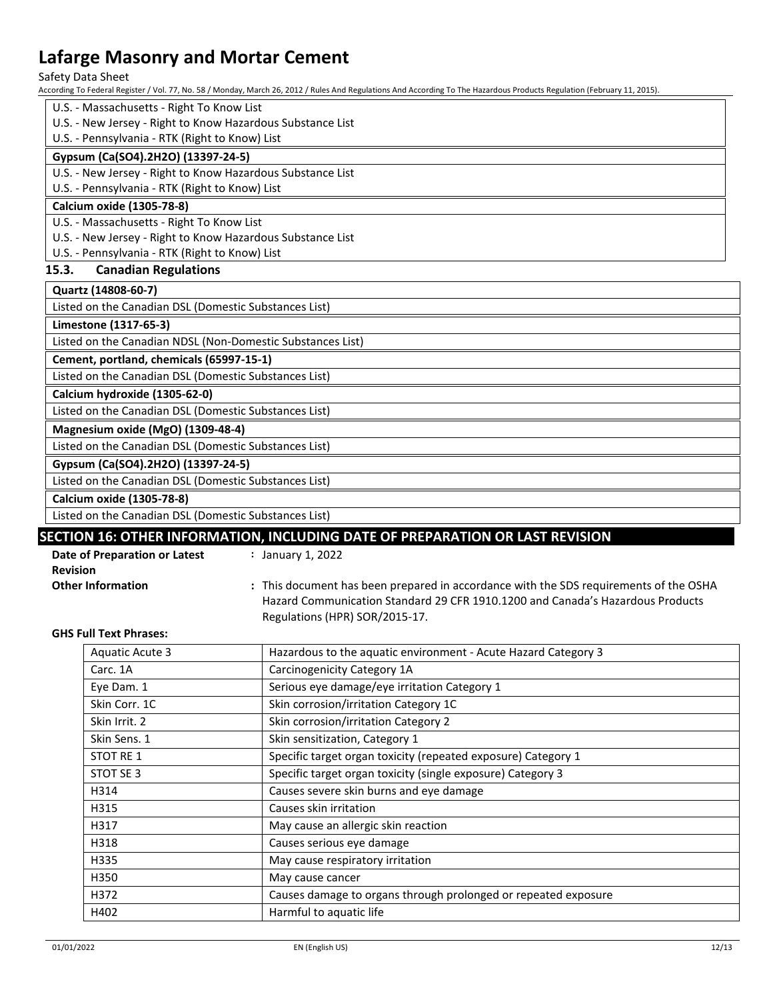Safety Data Sheet

According To Federal Register / Vol. 77, No. 58 / Monday, March 26, 2012 / Rules And Regulations And According To The Hazardous Products Regulation (February 11, 2015).

- U.S. Massachusetts Right To Know List
- U.S. New Jersey Right to Know Hazardous Substance List

## U.S. - Pennsylvania - RTK (Right to Know) List

#### **Gypsum (Ca(SO4).2H2O) (13397-24-5)**

U.S. - New Jersey - Right to Know Hazardous Substance List

U.S. - Pennsylvania - RTK (Right to Know) List

## **Calcium oxide (1305-78-8)**

U.S. - Massachusetts - Right To Know List

U.S. - New Jersey - Right to Know Hazardous Substance List

U.S. - Pennsylvania - RTK (Right to Know) List

### **15.3. Canadian Regulations**

### **Quartz (14808-60-7)**

Listed on the Canadian DSL (Domestic Substances List)

#### **Limestone (1317-65-3)**

Listed on the Canadian NDSL (Non-Domestic Substances List)

**Cement, portland, chemicals (65997-15-1)**

Listed on the Canadian DSL (Domestic Substances List)

**Calcium hydroxide (1305-62-0)**

Listed on the Canadian DSL (Domestic Substances List)

#### **Magnesium oxide (MgO) (1309-48-4)**

Listed on the Canadian DSL (Domestic Substances List)

### **Gypsum (Ca(SO4).2H2O) (13397-24-5)**

Listed on the Canadian DSL (Domestic Substances List)

**Calcium oxide (1305-78-8)**

Listed on the Canadian DSL (Domestic Substances List)

## **SECTION 16: OTHER INFORMATION, INCLUDING DATE OF PREPARATION OR LAST REVISION**

| Date of Preparation or Latest | January 1, 2022                                                                       |
|-------------------------------|---------------------------------------------------------------------------------------|
| <b>Revision</b>               |                                                                                       |
| <b>Other Information</b>      | : This document has been prepared in accordance with the SDS requirements of the OSHA |
|                               | Hazard Communication Standard 29 CFR 1910.1200 and Canada's Hazardous Products        |
|                               | Regulations (HPR) SOR/2015-17.                                                        |

#### **GHS Full Text Phrases:**

| <b>Aquatic Acute 3</b> | Hazardous to the aquatic environment - Acute Hazard Category 3 |
|------------------------|----------------------------------------------------------------|
| Carc. 1A               | Carcinogenicity Category 1A                                    |
| Eye Dam. 1             | Serious eye damage/eye irritation Category 1                   |
| Skin Corr. 1C          | Skin corrosion/irritation Category 1C                          |
| Skin Irrit. 2          | Skin corrosion/irritation Category 2                           |
| Skin Sens. 1           | Skin sensitization, Category 1                                 |
| STOT RE 1              | Specific target organ toxicity (repeated exposure) Category 1  |
| STOT SE 3              | Specific target organ toxicity (single exposure) Category 3    |
| H314                   | Causes severe skin burns and eye damage                        |
| H315                   | Causes skin irritation                                         |
| H317                   | May cause an allergic skin reaction                            |
| H318                   | Causes serious eye damage                                      |
| H335                   | May cause respiratory irritation                               |
| H350                   | May cause cancer                                               |
| H372                   | Causes damage to organs through prolonged or repeated exposure |
| H402                   | Harmful to aquatic life                                        |